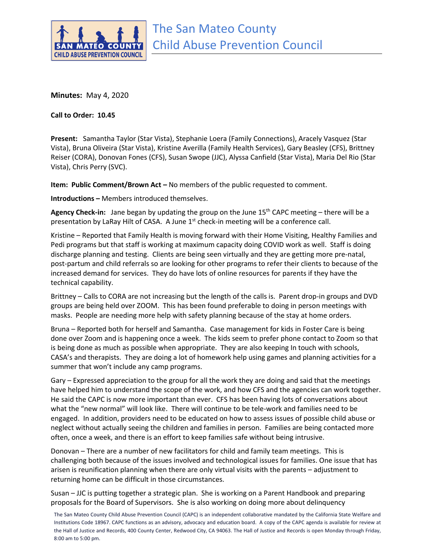

**Minutes:** May 4, 2020

**Call to Order: 10.45**

**Present:** Samantha Taylor (Star Vista), Stephanie Loera (Family Connections), Aracely Vasquez (Star Vista), Bruna Oliveira (Star Vista), Kristine Averilla (Family Health Services), Gary Beasley (CFS), Brittney Reiser (CORA), Donovan Fones (CFS), Susan Swope (JJC), Alyssa Canfield (Star Vista), Maria Del Rio (Star Vista), Chris Perry (SVC).

**Item: Public Comment/Brown Act –** No members of the public requested to comment.

**Introductions –** Members introduced themselves.

**Agency Check-in:** Jane began by updating the group on the June 15th CAPC meeting – there will be a presentation by LaRay Hilt of CASA. A June 1<sup>st</sup> check-in meeting will be a conference call.

Kristine – Reported that Family Health is moving forward with their Home Visiting, Healthy Families and Pedi programs but that staff is working at maximum capacity doing COVID work as well. Staff is doing discharge planning and testing. Clients are being seen virtually and they are getting more pre-natal, post-partum and child referrals so are looking for other programs to refer their clients to because of the increased demand for services. They do have lots of online resources for parents if they have the technical capability.

Brittney – Calls to CORA are not increasing but the length of the calls is. Parent drop-in groups and DVD groups are being held over ZOOM. This has been found preferable to doing in person meetings with masks. People are needing more help with safety planning because of the stay at home orders.

Bruna – Reported both for herself and Samantha. Case management for kids in Foster Care is being done over Zoom and is happening once a week. The kids seem to prefer phone contact to Zoom so that is being done as much as possible when appropriate. They are also keeping In touch with schools, CASA's and therapists. They are doing a lot of homework help using games and planning activities for a summer that won't include any camp programs.

Gary – Expressed appreciation to the group for all the work they are doing and said that the meetings have helped him to understand the scope of the work, and how CFS and the agencies can work together. He said the CAPC is now more important than ever. CFS has been having lots of conversations about what the "new normal" will look like. There will continue to be tele-work and families need to be engaged. In addition, providers need to be educated on how to assess issues of possible child abuse or neglect without actually seeing the children and families in person. Families are being contacted more often, once a week, and there is an effort to keep families safe without being intrusive.

Donovan – There are a number of new facilitators for child and family team meetings. This is challenging both because of the issues involved and technological issues for families. One issue that has arisen is reunification planning when there are only virtual visits with the parents – adjustment to returning home can be difficult in those circumstances.

Susan – JJC is putting together a strategic plan. She is working on a Parent Handbook and preparing proposals for the Board of Supervisors. She is also working on doing more about delinquency

The San Mateo County Child Abuse Prevention Council (CAPC) is an independent collaborative mandated by the California State Welfare and Institutions Code 18967. CAPC functions as an advisory, advocacy and education board. A copy of the CAPC agenda is available for review at the Hall of Justice and Records, 400 County Center, Redwood City, CA 94063. The Hall of Justice and Records is open Monday through Friday, 8:00 am to 5:00 pm.